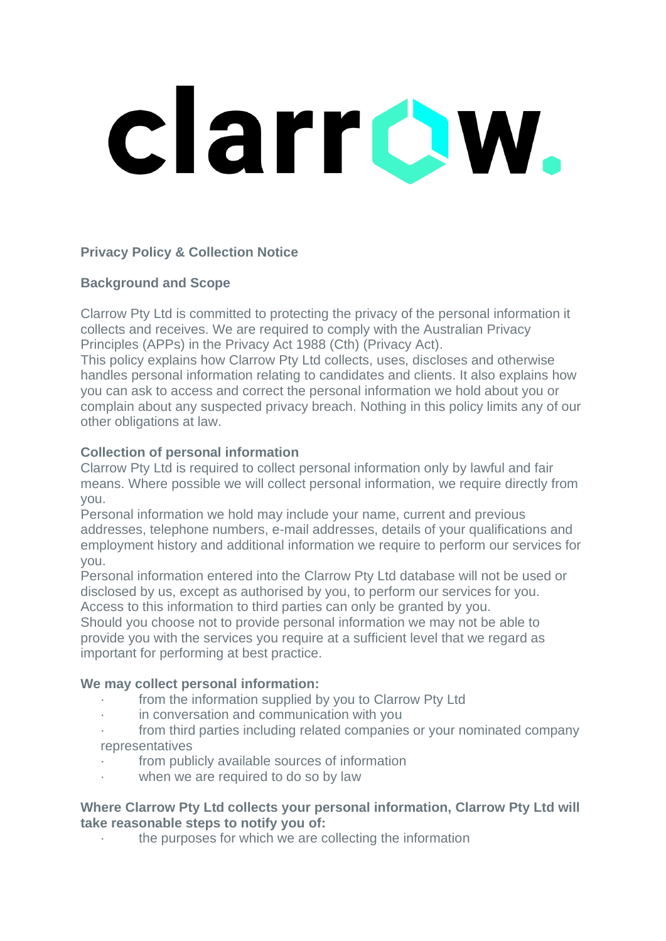# clarrow.

# **Privacy Policy & Collection Notice**

# **Background and Scope**

Clarrow Pty Ltd is committed to protecting the privacy of the personal information it collects and receives. We are required to comply with the Australian Privacy Principles (APPs) in the Privacy Act 1988 (Cth) (Privacy Act).

This policy explains how Clarrow Pty Ltd collects, uses, discloses and otherwise handles personal information relating to candidates and clients. It also explains how you can ask to access and correct the personal information we hold about you or complain about any suspected privacy breach. Nothing in this policy limits any of our other obligations at law.

# **Collection of personal information**

Clarrow Pty Ltd is required to collect personal information only by lawful and fair means. Where possible we will collect personal information, we require directly from you.

Personal information we hold may include your name, current and previous addresses, telephone numbers, e-mail addresses, details of your qualifications and employment history and additional information we require to perform our services for you.

Personal information entered into the Clarrow Pty Ltd database will not be used or disclosed by us, except as authorised by you, to perform our services for you. Access to this information to third parties can only be granted by you.

Should you choose not to provide personal information we may not be able to provide you with the services you require at a sufficient level that we regard as important for performing at best practice.

# **We may collect personal information:**

- · from the information supplied by you to Clarrow Pty Ltd
- in conversation and communication with you
- from third parties including related companies or your nominated company representatives
- from publicly available sources of information
- when we are required to do so by law

## **Where Clarrow Pty Ltd collects your personal information, Clarrow Pty Ltd will take reasonable steps to notify you of:**

the purposes for which we are collecting the information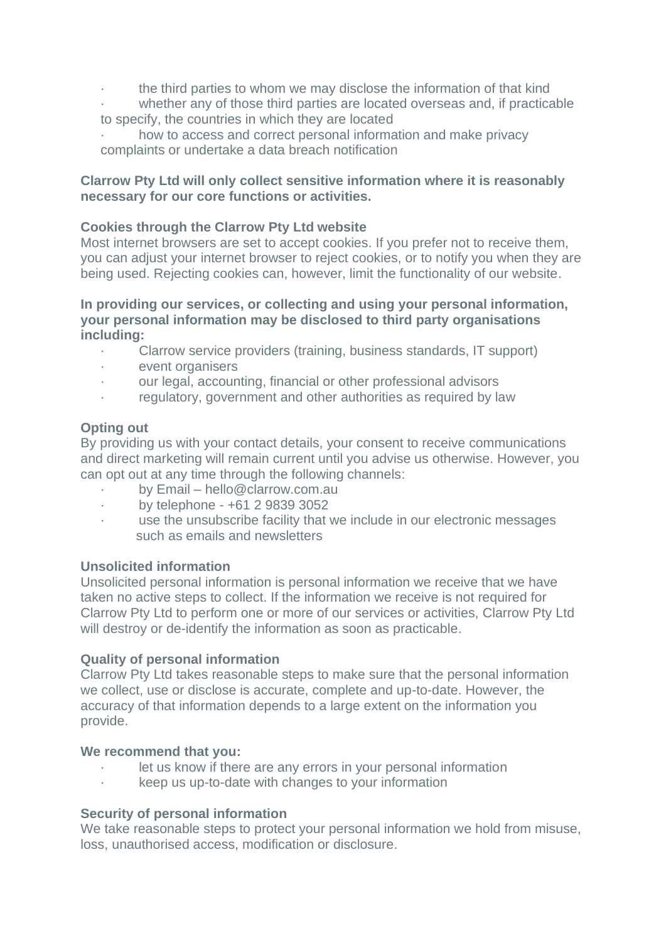- · the third parties to whom we may disclose the information of that kind
- whether any of those third parties are located overseas and, if practicable to specify, the countries in which they are located
- how to access and correct personal information and make privacy complaints or undertake a data breach notification

## **Clarrow Pty Ltd will only collect sensitive information where it is reasonably necessary for our core functions or activities.**

# **Cookies through the Clarrow Pty Ltd website**

Most internet browsers are set to accept cookies. If you prefer not to receive them, you can adjust your internet browser to reject cookies, or to notify you when they are being used. Rejecting cookies can, however, limit the functionality of our website.

### **In providing our services, or collecting and using your personal information, your personal information may be disclosed to third party organisations including:**

- · Clarrow service providers (training, business standards, IT support)
- event organisers
- · our legal, accounting, financial or other professional advisors
- regulatory, government and other authorities as required by law

## **Opting out**

By providing us with your contact details, your consent to receive communications and direct marketing will remain current until you advise us otherwise. However, you can opt out at any time through the following channels:

- · by Email hello@clarrow.com.au
- · by telephone +61 2 9839 3052
- use the unsubscribe facility that we include in our electronic messages such as emails and newsletters

# **Unsolicited information**

Unsolicited personal information is personal information we receive that we have taken no active steps to collect. If the information we receive is not required for Clarrow Pty Ltd to perform one or more of our services or activities, Clarrow Pty Ltd will destroy or de-identify the information as soon as practicable.

### **Quality of personal information**

Clarrow Pty Ltd takes reasonable steps to make sure that the personal information we collect, use or disclose is accurate, complete and up-to-date. However, the accuracy of that information depends to a large extent on the information you provide.

# **We recommend that you:**

- let us know if there are any errors in your personal information
- · keep us up-to-date with changes to your information

# **Security of personal information**

We take reasonable steps to protect your personal information we hold from misuse, loss, unauthorised access, modification or disclosure.